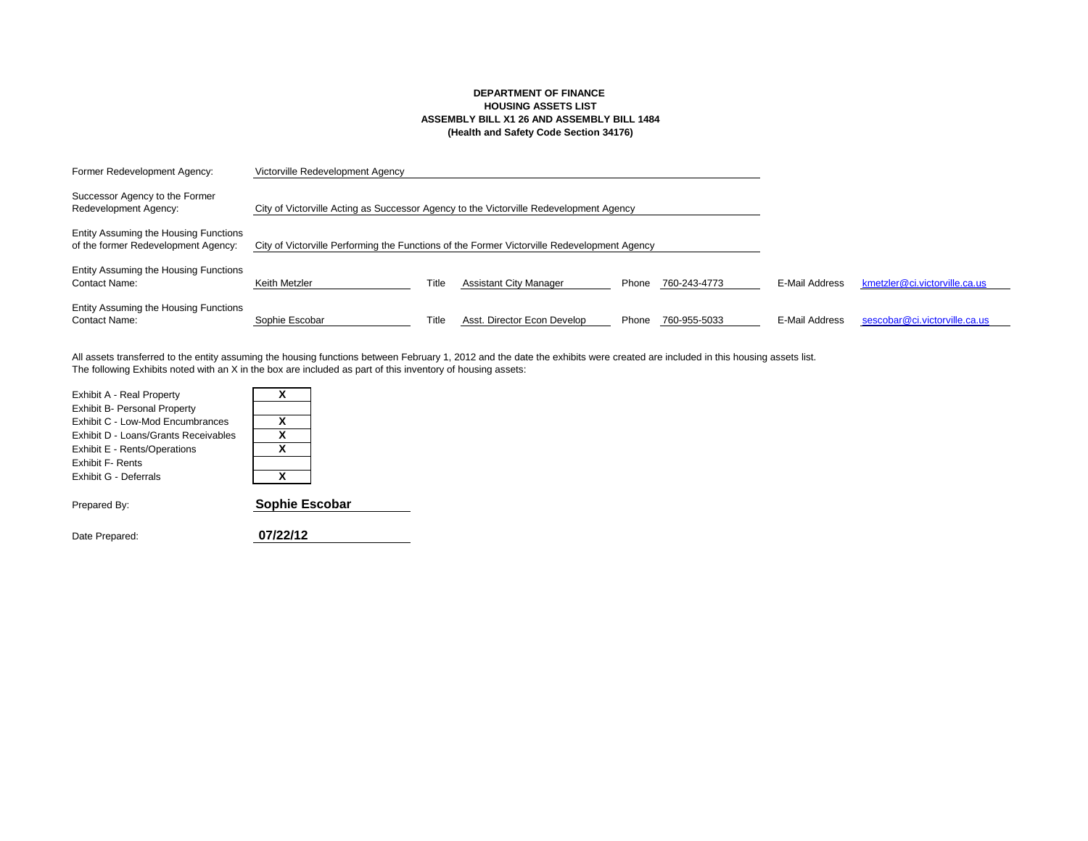#### **DEPARTMENT OF FINANCE HOUSING ASSETS LIST ASSEMBLY BILL X1 26 AND ASSEMBLY BILL 1484 (Health and Safety Code Section 34176)**

| Former Redevelopment Agency:                                                 | Victorville Redevelopment Agency                                                            |       |                               |       |              |                |                               |
|------------------------------------------------------------------------------|---------------------------------------------------------------------------------------------|-------|-------------------------------|-------|--------------|----------------|-------------------------------|
| Successor Agency to the Former<br>Redevelopment Agency:                      | City of Victorville Acting as Successor Agency to the Victorville Redevelopment Agency      |       |                               |       |              |                |                               |
| Entity Assuming the Housing Functions<br>of the former Redevelopment Agency: | City of Victorville Performing the Functions of the Former Victorville Redevelopment Agency |       |                               |       |              |                |                               |
| Entity Assuming the Housing Functions<br>Contact Name:                       | Keith Metzler                                                                               | Title | <b>Assistant City Manager</b> | Phone | 760-243-4773 | E-Mail Address | kmetzler@ci.victorville.ca.us |
| Entity Assuming the Housing Functions<br>Contact Name:                       | Sophie Escobar                                                                              | Title | Asst. Director Econ Develop   | Phone | 760-955-5033 | E-Mail Address | sescobar@ci.victorville.ca.us |

The following Exhibits noted with an X in the box are included as part of this inventory of housing assets: All assets transferred to the entity assuming the housing functions between February 1, 2012 and the date the exhibits were created are included in this housing assets list.

| Exhibit A - Real Property            |    |
|--------------------------------------|----|
| <b>Exhibit B- Personal Property</b>  |    |
| Exhibit C - Low-Mod Encumbrances     | x  |
| Exhibit D - Loans/Grants Receivables | x  |
| Exhibit E - Rents/Operations         | x  |
| <b>Exhibit F- Rents</b>              |    |
| Exhibit G - Deferrals                | x  |
| Prepared By:                         | So |

nie Escobar

Date Prepared: **07/22/12**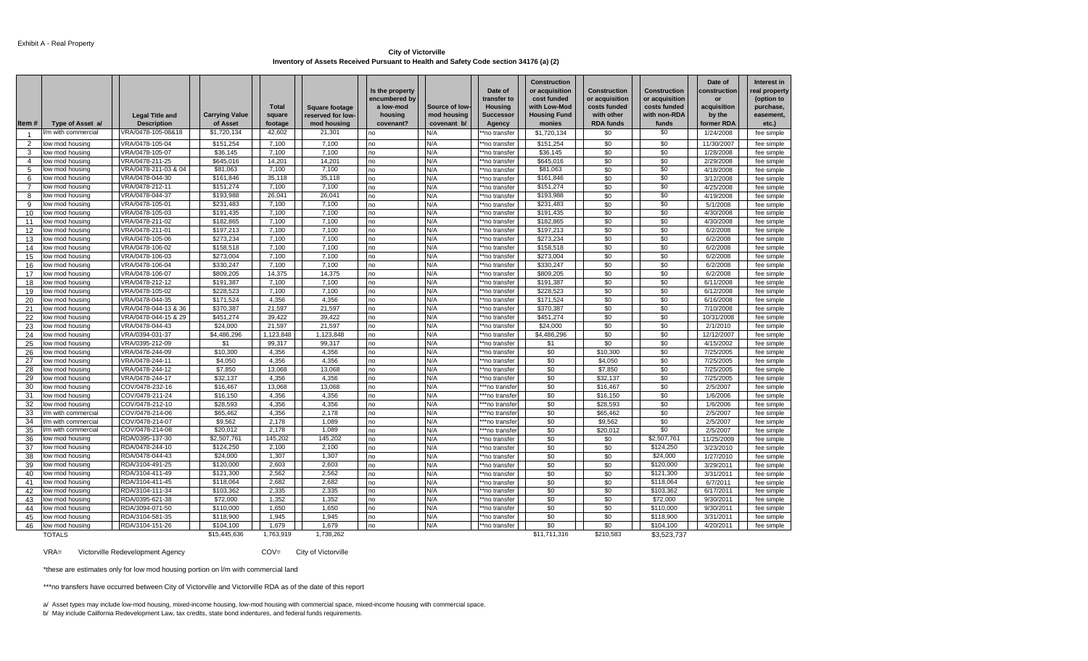#### **City of Victorville Inventory of Assets Received Pursuant to Health and Safety Code section 34176 (a) (2)**

|                |                    | <b>Legal Title and</b> | <b>Carrying Value</b> | <b>Total</b><br>square | <b>Square footage</b><br>reserved for low- | Is the property<br>encumbered by<br>a low-mod<br>housing | Source of low-<br>mod housing | Date of<br>transfer to<br><b>Housing</b><br><b>Successor</b> | <b>Construction</b><br>or acquisition<br>cost funded<br>with Low-Mod<br><b>Housing Fund</b> | <b>Construction</b><br>or acquisition<br>costs funded<br>with other | Construction<br>or acquisition<br>costs funded<br>with non-RDA | Date of<br>construction<br>or<br>acquisition<br>by the | Interest in<br>real property<br>(option to<br>purchase,<br>easement, |
|----------------|--------------------|------------------------|-----------------------|------------------------|--------------------------------------------|----------------------------------------------------------|-------------------------------|--------------------------------------------------------------|---------------------------------------------------------------------------------------------|---------------------------------------------------------------------|----------------------------------------------------------------|--------------------------------------------------------|----------------------------------------------------------------------|
| Item#          | Type of Asset a/   | <b>Description</b>     | of Asset              | footage                | mod housing                                | covenant?                                                | covenant b/                   | Agency                                                       | monies                                                                                      | <b>RDA funds</b>                                                    | funds                                                          | former RDA                                             | $etc.$ )                                                             |
|                | /m with commercial | VRA/0478-105-08&18     | \$1,720,134           | 42,602                 | 21,301                                     | no                                                       | N/A                           | **no transfer                                                | \$1,720,134                                                                                 | \$0                                                                 | \$0                                                            | 1/24/2008                                              | fee simple                                                           |
| $\overline{2}$ | low mod housing    | VRA/0478-105-04        | \$151,254             | 7,100                  | 7,100                                      | no                                                       | N/A                           | *no transfer                                                 | \$151,254                                                                                   | \$0                                                                 | \$0                                                            | 11/30/2007                                             | fee simple                                                           |
| 3              | ow mod housing     | VRA/0478-105-07        | \$36,145              | 7.100                  | 7.100                                      | no                                                       | N/A                           | **no transfer                                                | \$36,145                                                                                    | \$0                                                                 | \$0                                                            | 1/28/2008                                              | fee simple                                                           |
| $\overline{4}$ | low mod housing    | VRA/0478-211-25        | \$645,016             | 14,201                 | 14,201                                     | no                                                       | N/A                           | **no transfer                                                | \$645,016                                                                                   | \$0                                                                 | \$0                                                            | 2/29/2008                                              | fee simple                                                           |
| 5              | low mod housing    | VRA/0478-211-03 & 04   | \$81,063              | 7.100                  | 7,100                                      | no                                                       | N/A                           | **no transfer                                                | \$81.063                                                                                    | \$0                                                                 | \$0                                                            | 4/18/2008                                              | fee simple                                                           |
| 6              | low mod housing    | VRA/0478-044-30        | \$161,846             | 35,118                 | 35,118                                     | no                                                       | N/A                           | *no transfer                                                 | \$161,846                                                                                   | \$0                                                                 | \$0                                                            | 3/12/2008                                              | fee simple                                                           |
|                | ow mod housing     | VRA/0478-212-11        | \$151,274             | 7.100                  | 7,100                                      | no                                                       | N/A                           | *no transfer                                                 | \$151,274                                                                                   | \$0                                                                 | \$0                                                            | 4/25/2008                                              | fee simple                                                           |
| 8              | ow mod housing     | VRA/0478-044-37        | \$193,988             | 26,041                 | 26,041                                     | no                                                       | N/A                           | *no transfer                                                 | \$193,988                                                                                   | \$0                                                                 | \$0                                                            | 4/19/2008                                              | fee simple                                                           |
| 9              | low mod housing    | VRA/0478-105-01        | \$231,483             | 7.100                  | 7,100                                      | no                                                       | N/A                           | **no transfer                                                | \$231,483                                                                                   | \$0                                                                 | \$0                                                            | 5/1/2008                                               | fee simple                                                           |
| 10             | ow mod housing     | VRA/0478-105-03        | \$191,435             | 7,100                  | 7,100                                      | no                                                       | N/A                           | **no transfer                                                | \$191,435                                                                                   | \$0                                                                 | \$0                                                            | 4/30/2008                                              | fee simple                                                           |
| 11             | ow mod housing     | VRA/0478-211-02        | \$182,865             | 7,100                  | 7,100                                      | no                                                       | N/A                           | *no transfer                                                 | \$182,865                                                                                   | \$0                                                                 | \$0                                                            | 4/30/2008                                              | fee simple                                                           |
| 12             | ow mod housing     | VRA/0478-211-01        | \$197,213             | 7.100                  | 7.100                                      | no                                                       | N/A                           | *no transfer                                                 | \$197,213                                                                                   | \$0                                                                 | \$0                                                            | 6/2/2008                                               | fee simple                                                           |
| 13             | ow mod housing     | VRA/0478-105-06        | \$273.234             | 7.100                  | 7,100                                      | no                                                       | N/A                           | *no transfer                                                 | \$273.234                                                                                   | \$0                                                                 | \$0                                                            | 6/2/2008                                               | fee simple                                                           |
| 14             | ow mod housing     | VRA/0478-106-02        | \$158,518             | 7.100                  | 7,100                                      | no                                                       | N/A                           | *no transfer                                                 | \$158,518                                                                                   | \$0                                                                 | \$0                                                            | 6/2/2008                                               | fee simple                                                           |
| 15             | ow mod housing     | VRA/0478-106-03        | \$273,004             | 7,100                  | 7,100                                      | no                                                       | N/A                           | *no transfer                                                 | \$273,004                                                                                   | \$0                                                                 | \$0                                                            | 6/2/2008                                               | fee simple                                                           |
| 16             | ow mod housing     | VRA/0478-106-04        | \$330,247             | 7,100                  | 7,100                                      | no                                                       | N/A                           | *no transfer                                                 | \$330,247                                                                                   | \$0                                                                 | \$0                                                            | 6/2/2008                                               | fee simple                                                           |
| 17             | ow mod housing     | VRA/0478-106-07        | \$809,205             | 14,375                 | 14,375                                     | no                                                       | N/A                           | *no transfer                                                 | \$809,205                                                                                   | \$0                                                                 | \$0                                                            | 6/2/2008                                               | fee simple                                                           |
| 18             | ow mod housing     | VRA/0478-212-12        | \$191,387             | 7,100                  | 7,100                                      | no                                                       | N/A                           | *no transfer                                                 | \$191,387                                                                                   | \$0                                                                 | \$0                                                            | 6/11/2008                                              | fee simple                                                           |
| 19             | ow mod housing     | VRA/0478-105-02        | \$228,523             | 7.100                  | 7,100                                      | no                                                       | N/A                           | **no transfer                                                | \$228,523                                                                                   | \$0                                                                 | \$0                                                            | 6/12/2008                                              | fee simple                                                           |
| 20             | ow mod housing     | VRA/0478-044-35        | \$171,524             | 4,356                  | 4,356                                      | no                                                       | N/A                           | **no transfer                                                | \$171,524                                                                                   | \$0                                                                 | \$0                                                            | 6/16/2008                                              | fee simple                                                           |
| 21             | ow mod housing     | VRA/0478-044-13 & 36   | \$370,387             | 21.597                 | 21,597                                     | no                                                       | N/A                           | *no transfer                                                 | \$370,387                                                                                   | \$0                                                                 | \$0                                                            | 7/10/2008                                              | fee simple                                                           |
| 22             | ow mod housing     | VRA/0478-044-15 & 29   | \$451,274             | 39,422                 | 39,422                                     | no                                                       | N/A                           | *no transfei                                                 | \$451,274                                                                                   | \$0                                                                 | \$0                                                            | 10/31/2008                                             | fee simple                                                           |
| 23             | ow mod housing     | VRA/0478-044-43        | \$24,000              | 21,597                 | 21,597                                     | no                                                       | N/A                           | **no transfer                                                | \$24,000                                                                                    | \$0                                                                 | \$0                                                            | 2/1/2010                                               | fee simple                                                           |
| 24             | low mod housing    | VRA/0394-031-37        | \$4,486,296           | 1,123,848              | 1,123,848                                  | no                                                       | N/A                           | **no transfer                                                | \$4,486,296                                                                                 | \$0                                                                 | \$0                                                            | 12/12/2007                                             | fee simple                                                           |
| 25             | ow mod housing     | VRA/0395-212-09        | \$1                   | 99.317                 | 99,317                                     | no                                                       | N/A                           | *no transfer                                                 | \$1                                                                                         | \$0                                                                 | \$0                                                            | 4/15/2002                                              | fee simple                                                           |
| 26             | ow mod housing     | VRA/0478-244-09        | \$10,300              | 4,356                  | 4,356                                      | no                                                       | N/A                           | *no transfei                                                 | \$0                                                                                         | \$10,300                                                            | \$0                                                            | 7/25/2005                                              | fee simple                                                           |
| 27             | ow mod housing     | VRA/0478-244-11        | \$4,050               | 4.356                  | 4,356                                      | no                                                       | N/A                           | *no transfer                                                 | \$0                                                                                         | \$4,050                                                             | \$0                                                            | 7/25/2005                                              | fee simple                                                           |
| 28             | ow mod housing     | VRA/0478-244-12        | \$7,850               | 13.068                 | 13.068                                     | no                                                       | N/A                           | *no transfei                                                 | \$0                                                                                         | \$7,850                                                             | \$0                                                            | 7/25/2005                                              | fee simple                                                           |
| 29             | ow mod housing     | VRA/0478-244-17        | \$32,137              | 4.356                  | 4.356                                      | no                                                       | N/A                           | **no transfei                                                | \$0                                                                                         | \$32,137                                                            | \$0                                                            | 7/25/2005                                              | fee simple                                                           |
| 30             | ow mod housing     | COV/0478-232-16        | \$16,467              | 13,068                 | 13,068                                     | no                                                       | N/A                           | **no transfe                                                 | \$0                                                                                         | \$16,467                                                            | \$0                                                            | 2/5/2007                                               | fee simple                                                           |
| 31             | ow mod housing     | COV/0478-211-24        | \$16,150              | 4,356                  | 4,356                                      | no                                                       | N/A                           | *no transfe                                                  | \$0                                                                                         | \$16,150                                                            | \$0                                                            | 1/6/2006                                               | fee simple                                                           |
| 32             | ow mod housing     | COV/0478-212-10        | \$28,593              | 4,356                  | 4,356                                      | no                                                       | N/A                           | **no transfe                                                 | \$0                                                                                         | \$28,593                                                            | \$0                                                            | 1/6/2006                                               | fee simple                                                           |
| 33             | /m with commercial | COV/0478-214-06        | \$65,462              | 4,356                  | 2,178                                      | no                                                       | N/A                           | **no transfe                                                 | \$0                                                                                         | \$65,462                                                            | \$0                                                            | 2/5/2007                                               | fee simple                                                           |
| 34             | m with commercial  | COV/0478-214-07        | \$9,562               | 2,178                  | 1,089                                      | no                                                       | N/A                           | **no transfe                                                 | \$0                                                                                         | \$9,562                                                             | \$0                                                            | 2/5/2007                                               | fee simple                                                           |
| 35             | 'm with commercial | COV/0478-214-08        | \$20,012              | 2,178                  | 1,089                                      | no                                                       | N/A                           | **no transfe                                                 | \$0                                                                                         | \$20,012                                                            | \$0                                                            | 2/5/2007                                               | fee simple                                                           |
| 36             | ow mod housing     | RDA/0395-137-30        | \$2,507,761           | 145.202                | 145,202                                    | no                                                       | N/A                           | *no transfei                                                 | \$0                                                                                         | \$0                                                                 | \$2,507,761                                                    | 11/25/2009                                             | fee simple                                                           |
| 37             | ow mod housino     | RDA/0478-244-10        | \$124,250             | 2.100                  | 2.100                                      | no                                                       | N/A                           | **no transfei                                                | \$0                                                                                         | \$0                                                                 | \$124,250                                                      | 3/23/2010                                              | fee simple                                                           |
| 38             | ow mod housing     | RDA/0478-044-43        | \$24,000              | 1,307                  | 1,307                                      | no                                                       | N/A                           | **no transfer                                                | \$0                                                                                         | \$0                                                                 | \$24,000                                                       | 1/27/2010                                              | fee simple                                                           |
| 39             | ow mod housing     | RDA/3104-491-25        | \$120,000             | 2,603                  | 2,603                                      | no                                                       | N/A                           | *no transfei                                                 | \$0                                                                                         | \$0                                                                 | \$120,000                                                      | 3/29/2011                                              | fee simple                                                           |
| 40             | ow mod housing     | RDA/3104-411-49        | \$121,300             | 2,562                  | 2,562                                      | no                                                       | N/A                           | **no transfer                                                | \$0                                                                                         | \$0                                                                 | \$121,300                                                      | 3/31/2011                                              | fee simple                                                           |
| 41             | ow mod housing     | RDA/3104-411-45        | \$118,064             | 2.682                  | 2,682                                      | no                                                       | N/A                           | **no transfer                                                | \$0                                                                                         | \$0                                                                 | \$118,064                                                      | 6/7/2011                                               | fee simple                                                           |
| 42             | low mod housing    | RDA/3104-111-34        | \$103,362             | 2,335                  | 2,335                                      | no                                                       | N/A                           | **no transfer                                                | \$0                                                                                         | \$0                                                                 | \$103,362                                                      | 6/17/2011                                              | fee simple                                                           |
| 43             | low mod housing    | RDA/0395-621-38        | \$72,000              | 1.352                  | 1.352                                      | no                                                       | N/A                           | **no transfei                                                | \$0                                                                                         | \$0                                                                 | \$72,000                                                       | 9/30/2011                                              | fee simple                                                           |
| 44             | ow mod housing     | RDA/3094-071-50        | \$110,000             | 1,650                  | 1,650                                      | no                                                       | N/A                           | *no transfer                                                 | \$0                                                                                         | \$0                                                                 | \$110,000                                                      | 9/30/2011                                              | fee simple                                                           |
| 45             | ow mod housing     | RDA/3104-581-35        | \$118,900             | 1.945                  | 1.945                                      | no                                                       | N/A                           | *no transfer                                                 | \$0                                                                                         | \$0                                                                 | \$118,900                                                      | 3/31/2011                                              | fee simple                                                           |
| 46             | low mod housing    | RDA/3104-151-26        | \$104,100             | 1,679                  | 1,679                                      | no                                                       | N/A                           | *no transfer                                                 | \$0                                                                                         | \$0                                                                 | \$104,100                                                      | 4/20/2011                                              | fee simple                                                           |
|                | <b>TOTALS</b>      |                        | \$15,445,636          | 1,763,919              | 1,738,262                                  |                                                          |                               |                                                              | \$11,711,316                                                                                | \$210,583                                                           | \$3,523,737                                                    |                                                        |                                                                      |

VRA= Victorville Redevelopment Agency COV= City of Victorville

\*these are estimates only for low mod housing portion on l/m with commercial land

\*\*\*no transfers have occurred between City of Victorville and Victorville RDA as of the date of this report

a/ Asset types may include low-mod housing, mixed-income housing, low-mod housing with commercial space, mixed-income housing with commercial space.

b/ May include California Redevelopment Law, tax credits, state bond indentures, and federal funds requirements.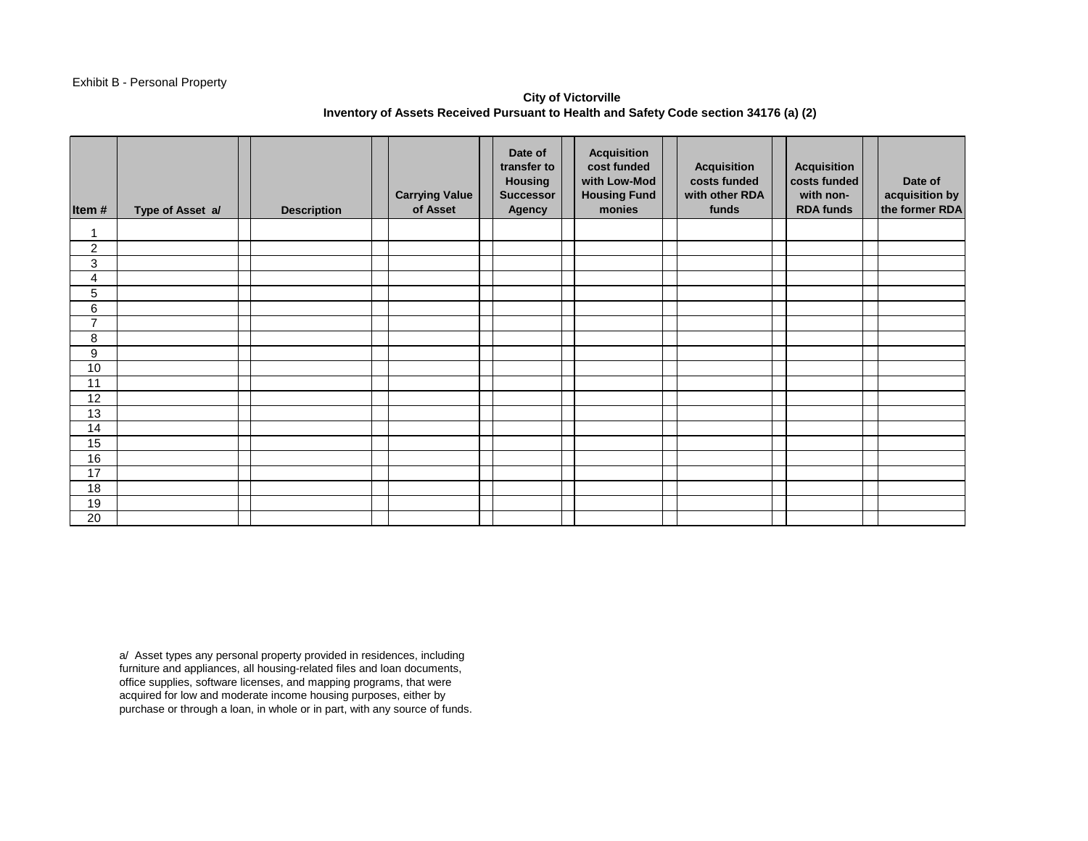#### Exhibit B - Personal Property

# **City of Victorville Inventory of Assets Received Pursuant to Health and Safety Code section 34176 (a) (2)**

| Item#                     | Type of Asset a/ | <b>Description</b> | <b>Carrying Value</b><br>of Asset | Date of<br>transfer to<br><b>Housing</b><br><b>Successor</b><br><b>Agency</b> | <b>Acquisition</b><br>cost funded<br>with Low-Mod<br><b>Housing Fund</b><br>monies | <b>Acquisition</b><br>costs funded<br>with other RDA<br>funds | <b>Acquisition</b><br>costs funded<br>with non-<br><b>RDA funds</b> | Date of<br>acquisition by<br>the former RDA |
|---------------------------|------------------|--------------------|-----------------------------------|-------------------------------------------------------------------------------|------------------------------------------------------------------------------------|---------------------------------------------------------------|---------------------------------------------------------------------|---------------------------------------------|
| 1                         |                  |                    |                                   |                                                                               |                                                                                    |                                                               |                                                                     |                                             |
| $\overline{2}$            |                  |                    |                                   |                                                                               |                                                                                    |                                                               |                                                                     |                                             |
| $\ensuremath{\mathsf{3}}$ |                  |                    |                                   |                                                                               |                                                                                    |                                                               |                                                                     |                                             |
| 4                         |                  |                    |                                   |                                                                               |                                                                                    |                                                               |                                                                     |                                             |
| 5                         |                  |                    |                                   |                                                                               |                                                                                    |                                                               |                                                                     |                                             |
| 6                         |                  |                    |                                   |                                                                               |                                                                                    |                                                               |                                                                     |                                             |
| $\overline{7}$            |                  |                    |                                   |                                                                               |                                                                                    |                                                               |                                                                     |                                             |
| 8                         |                  |                    |                                   |                                                                               |                                                                                    |                                                               |                                                                     |                                             |
| 9                         |                  |                    |                                   |                                                                               |                                                                                    |                                                               |                                                                     |                                             |
| 10                        |                  |                    |                                   |                                                                               |                                                                                    |                                                               |                                                                     |                                             |
| 11                        |                  |                    |                                   |                                                                               |                                                                                    |                                                               |                                                                     |                                             |
| 12                        |                  |                    |                                   |                                                                               |                                                                                    |                                                               |                                                                     |                                             |
| 13                        |                  |                    |                                   |                                                                               |                                                                                    |                                                               |                                                                     |                                             |
| 14                        |                  |                    |                                   |                                                                               |                                                                                    |                                                               |                                                                     |                                             |
| 15                        |                  |                    |                                   |                                                                               |                                                                                    |                                                               |                                                                     |                                             |
| 16                        |                  |                    |                                   |                                                                               |                                                                                    |                                                               |                                                                     |                                             |
| 17                        |                  |                    |                                   |                                                                               |                                                                                    |                                                               |                                                                     |                                             |
| 18                        |                  |                    |                                   |                                                                               |                                                                                    |                                                               |                                                                     |                                             |
| 19                        |                  |                    |                                   |                                                                               |                                                                                    |                                                               |                                                                     |                                             |
| 20                        |                  |                    |                                   |                                                                               |                                                                                    |                                                               |                                                                     |                                             |

a/ Asset types any personal property provided in residences, including furniture and appliances, all housing-related files and loan documents, office supplies, software licenses, and mapping programs, that were acquired for low and moderate income housing purposes, either by purchase or through a loan, in whole or in part, with any source of funds.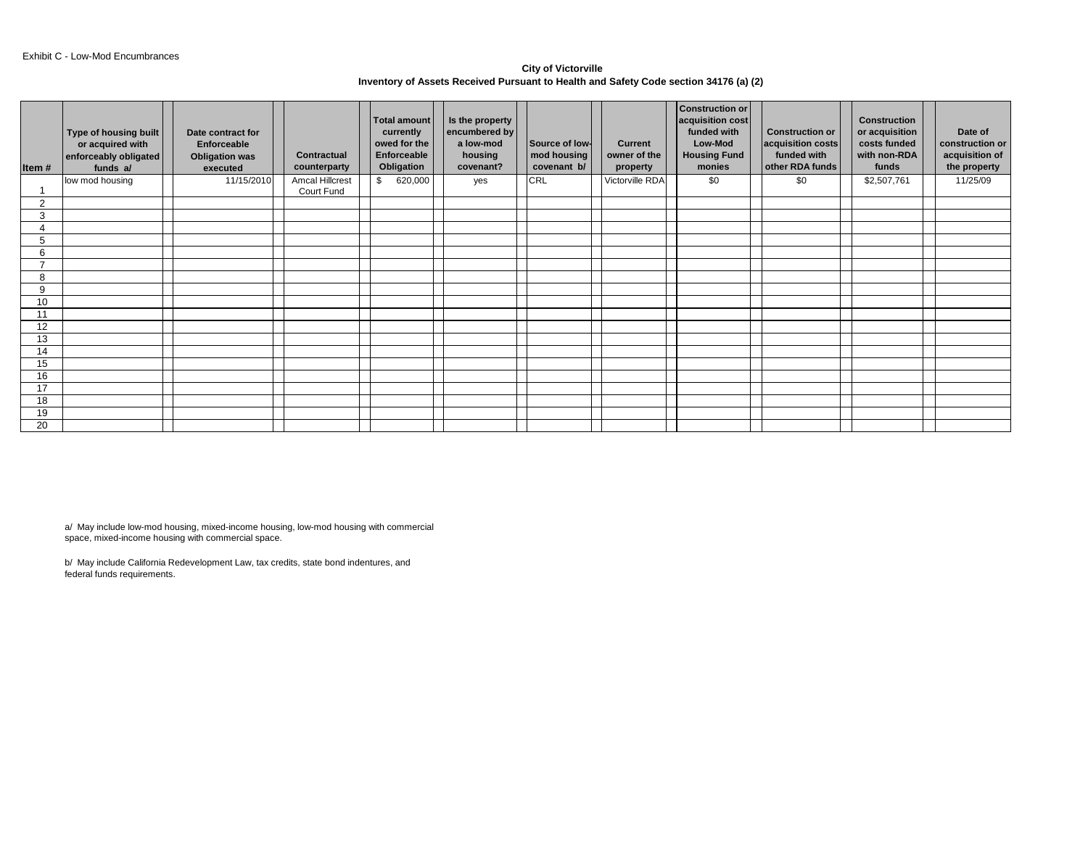**City of Victorville Inventory of Assets Received Pursuant to Health and Safety Code section 34176 (a) (2)** 

| Item $#$       | Type of housing built<br>or acquired with<br>enforceably obligated<br>funds a/ | Date contract for<br>Enforceable<br><b>Obligation was</b><br>executed | <b>Contractual</b><br>counterparty   | <b>Total amount</b><br>currently<br>owed for the<br>Enforceable<br>Obligation | Is the property<br>encumbered by<br>a low-mod<br>housing<br>covenant? | Source of low-<br>mod housing<br>covenant b/ | <b>Current</b><br>owner of the<br>property | <b>Construction or</b><br>acquisition cost<br>funded with<br>Low-Mod<br><b>Housing Fund</b><br>monies | <b>Construction or</b><br>acquisition costs<br>funded with<br>other RDA funds | <b>Construction</b><br>or acquisition<br>costs funded<br>with non-RDA<br>funds | Date of<br>construction or<br>acquisition of<br>the property |
|----------------|--------------------------------------------------------------------------------|-----------------------------------------------------------------------|--------------------------------------|-------------------------------------------------------------------------------|-----------------------------------------------------------------------|----------------------------------------------|--------------------------------------------|-------------------------------------------------------------------------------------------------------|-------------------------------------------------------------------------------|--------------------------------------------------------------------------------|--------------------------------------------------------------|
|                | low mod housing                                                                | 11/15/2010                                                            | <b>Amcal Hillcrest</b><br>Court Fund | 620,000<br>\$                                                                 | yes                                                                   | CRL                                          | Victorville RDA                            | \$0                                                                                                   | \$0                                                                           | \$2,507,761                                                                    | 11/25/09                                                     |
| 2              |                                                                                |                                                                       |                                      |                                                                               |                                                                       |                                              |                                            |                                                                                                       |                                                                               |                                                                                |                                                              |
| 3              |                                                                                |                                                                       |                                      |                                                                               |                                                                       |                                              |                                            |                                                                                                       |                                                                               |                                                                                |                                                              |
|                |                                                                                |                                                                       |                                      |                                                                               |                                                                       |                                              |                                            |                                                                                                       |                                                                               |                                                                                |                                                              |
| 5              |                                                                                |                                                                       |                                      |                                                                               |                                                                       |                                              |                                            |                                                                                                       |                                                                               |                                                                                |                                                              |
| 6              |                                                                                |                                                                       |                                      |                                                                               |                                                                       |                                              |                                            |                                                                                                       |                                                                               |                                                                                |                                                              |
| $\overline{ }$ |                                                                                |                                                                       |                                      |                                                                               |                                                                       |                                              |                                            |                                                                                                       |                                                                               |                                                                                |                                                              |
| 8              |                                                                                |                                                                       |                                      |                                                                               |                                                                       |                                              |                                            |                                                                                                       |                                                                               |                                                                                |                                                              |
| 9              |                                                                                |                                                                       |                                      |                                                                               |                                                                       |                                              |                                            |                                                                                                       |                                                                               |                                                                                |                                                              |
| 10             |                                                                                |                                                                       |                                      |                                                                               |                                                                       |                                              |                                            |                                                                                                       |                                                                               |                                                                                |                                                              |
| 11             |                                                                                |                                                                       |                                      |                                                                               |                                                                       |                                              |                                            |                                                                                                       |                                                                               |                                                                                |                                                              |
| 12             |                                                                                |                                                                       |                                      |                                                                               |                                                                       |                                              |                                            |                                                                                                       |                                                                               |                                                                                |                                                              |
| 13             |                                                                                |                                                                       |                                      |                                                                               |                                                                       |                                              |                                            |                                                                                                       |                                                                               |                                                                                |                                                              |
| 14             |                                                                                |                                                                       |                                      |                                                                               |                                                                       |                                              |                                            |                                                                                                       |                                                                               |                                                                                |                                                              |
| 15             |                                                                                |                                                                       |                                      |                                                                               |                                                                       |                                              |                                            |                                                                                                       |                                                                               |                                                                                |                                                              |
| 16             |                                                                                |                                                                       |                                      |                                                                               |                                                                       |                                              |                                            |                                                                                                       |                                                                               |                                                                                |                                                              |
| 17             |                                                                                |                                                                       |                                      |                                                                               |                                                                       |                                              |                                            |                                                                                                       |                                                                               |                                                                                |                                                              |
| 18             |                                                                                |                                                                       |                                      |                                                                               |                                                                       |                                              |                                            |                                                                                                       |                                                                               |                                                                                |                                                              |
| 19             |                                                                                |                                                                       |                                      |                                                                               |                                                                       |                                              |                                            |                                                                                                       |                                                                               |                                                                                |                                                              |
| 20             |                                                                                |                                                                       |                                      |                                                                               |                                                                       |                                              |                                            |                                                                                                       |                                                                               |                                                                                |                                                              |

a/ May include low-mod housing, mixed-income housing, low-mod housing with commercial space, mixed-income housing with commercial space.

b/ May include California Redevelopment Law, tax credits, state bond indentures, and federal funds requirements.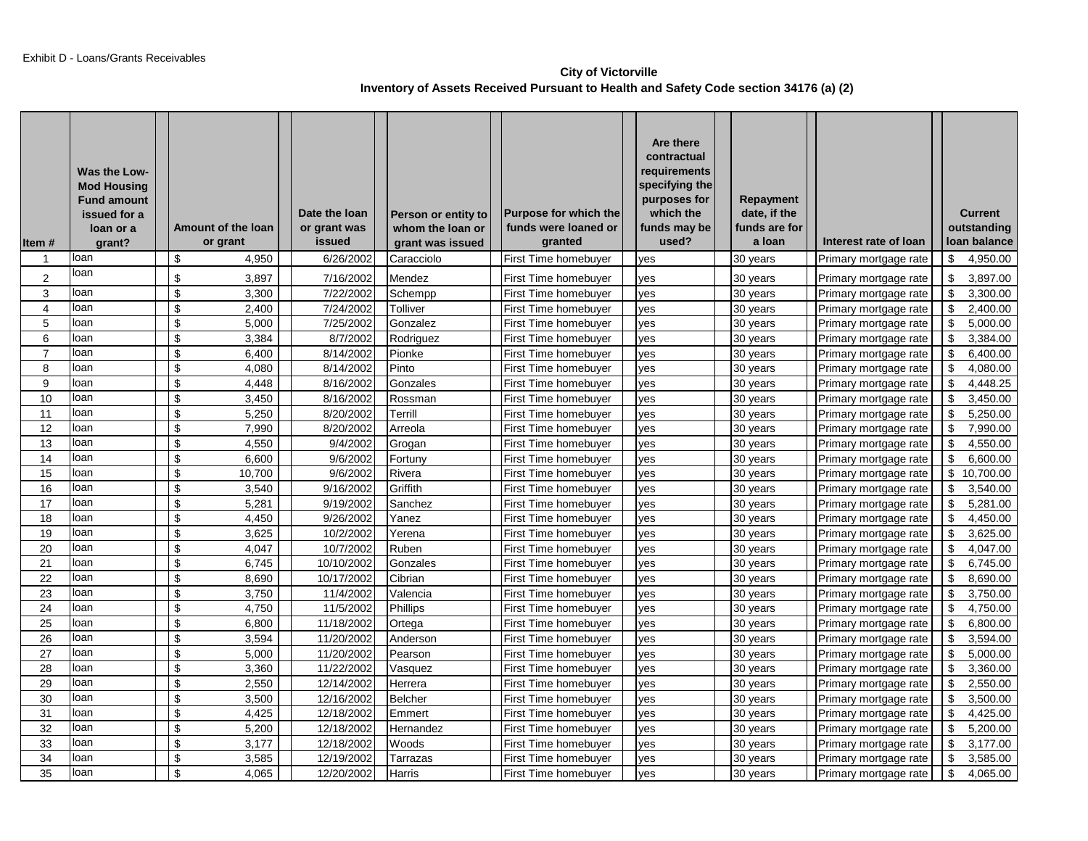## **City of Victorville Inventory of Assets Received Pursuant to Health and Safety Code section 34176 (a) (2)**

| Item#           | Was the Low-<br><b>Mod Housing</b><br><b>Fund amount</b><br>issued for a<br>loan or a<br>grant? | Amount of the loan<br>or grant | Date the loan<br>or grant was<br>issued | Person or entity to<br>whom the loan or<br>grant was issued | Purpose for which the<br>funds were loaned or<br>granted | Are there<br>contractual<br>requirements<br>specifying the<br>purposes for<br>which the<br>funds may be<br>used? | Repayment<br>date, if the<br>funds are for<br>a loan | Interest rate of loan |    | <b>Current</b><br>outstanding<br>Ioan balance |
|-----------------|-------------------------------------------------------------------------------------------------|--------------------------------|-----------------------------------------|-------------------------------------------------------------|----------------------------------------------------------|------------------------------------------------------------------------------------------------------------------|------------------------------------------------------|-----------------------|----|-----------------------------------------------|
| 1               | loan                                                                                            | \$<br>4,950                    | 6/26/2002                               | Caracciolo                                                  | First Time homebuyer                                     | yes                                                                                                              | 30 years                                             | Primary mortgage rate | \$ | 4,950.00                                      |
| $\overline{2}$  | loan                                                                                            | \$<br>3,897                    | 7/16/2002                               | Mendez                                                      | First Time homebuyer                                     | ves                                                                                                              | 30 years                                             | Primary mortgage rate | \$ | 3,897.00                                      |
| 3               | loan                                                                                            | \$<br>3,300                    | 7/22/2002                               | Schempp                                                     | First Time homebuyer                                     | ves                                                                                                              | 30 years                                             | Primary mortgage rate | \$ | 3,300.00                                      |
| $\overline{4}$  | loan                                                                                            | \$<br>2,400                    | 7/24/2002                               | Tolliver                                                    | First Time homebuyer                                     | yes                                                                                                              | 30 years                                             | Primary mortgage rate | \$ | 2,400.00                                      |
| 5               | loan                                                                                            | \$<br>5.000                    | 7/25/2002                               | Gonzalez                                                    | First Time homebuyer                                     | ves                                                                                                              | 30 years                                             | Primary mortgage rate | \$ | 5.000.00                                      |
| 6               | loan                                                                                            | \$<br>3,384                    | 8/7/2002                                | Rodriguez                                                   | First Time homebuyer                                     | yes                                                                                                              | 30 years                                             | Primary mortgage rate | \$ | 3,384.00                                      |
| $\overline{7}$  | loan                                                                                            | \$<br>6,400                    | 8/14/2002                               | Pionke                                                      | First Time homebuyer                                     | ves                                                                                                              | 30 years                                             | Primary mortgage rate | \$ | 6,400.00                                      |
| 8               | loan                                                                                            | \$<br>4,080                    | 8/14/2002                               | Pinto                                                       | First Time homebuyer                                     | yes                                                                                                              | 30 years                                             | Primary mortgage rate | \$ | 4,080.00                                      |
| 9               | loan                                                                                            | \$<br>4,448                    | 8/16/2002                               | Gonzales                                                    | First Time homebuyer                                     | ves                                                                                                              | 30 years                                             | Primary mortgage rate | \$ | 4,448.25                                      |
| 10              | loan                                                                                            | \$<br>3,450                    | 8/16/2002                               | Rossman                                                     | First Time homebuyer                                     | ves                                                                                                              | 30 years                                             | Primary mortgage rate | \$ | 3,450.00                                      |
| 11              | loan                                                                                            | \$<br>5,250                    | 8/20/2002                               | Terrill                                                     | First Time homebuyer                                     | ves                                                                                                              | 30 years                                             | Primary mortgage rate | \$ | 5,250.00                                      |
| 12              | loan                                                                                            | \$<br>7,990                    | 8/20/2002                               | Arreola                                                     | First Time homebuyer                                     | ves                                                                                                              | 30 years                                             | Primary mortgage rate | \$ | 7,990.00                                      |
| 13              | loan                                                                                            | \$<br>4,550                    | 9/4/2002                                | Grogan                                                      | First Time homebuyer                                     | ves                                                                                                              | 30 years                                             | Primary mortgage rate | \$ | 4,550.00                                      |
| 14              | loan                                                                                            | \$<br>6,600                    | 9/6/2002                                | Fortuny                                                     | First Time homebuyer                                     | ves                                                                                                              | 30 years                                             | Primary mortgage rate | \$ | 6,600.00                                      |
| 15              | loan                                                                                            | \$<br>10,700                   | 9/6/2002                                | Rivera                                                      | First Time homebuyer                                     | ves                                                                                                              | 30 years                                             | Primary mortgage rate | \$ | 10,700.00                                     |
| 16              | loan                                                                                            | \$<br>3,540                    | 9/16/2002                               | Griffith                                                    | First Time homebuyer                                     | ves                                                                                                              | 30 years                                             | Primary mortgage rate | \$ | 3,540.00                                      |
| 17              | loan                                                                                            | \$<br>5,281                    | 9/19/2002                               | Sanchez                                                     | First Time homebuyer                                     | ves                                                                                                              | 30 years                                             | Primary mortgage rate | \$ | 5.281.00                                      |
| 18              | loan                                                                                            | \$<br>4,450                    | 9/26/2002                               | Yanez                                                       | First Time homebuyer                                     | ves                                                                                                              | 30 years                                             | Primary mortgage rate | \$ | 4,450.00                                      |
| 19              | loan                                                                                            | \$<br>3,625                    | 10/2/2002                               | Yerena                                                      | First Time homebuyer                                     | yes                                                                                                              | 30 years                                             | Primary mortgage rate | \$ | 3,625.00                                      |
| 20              | loan                                                                                            | \$<br>4,047                    | 10/7/2002                               | Ruben                                                       | First Time homebuyer                                     | yes                                                                                                              | 30 years                                             | Primary mortgage rate | \$ | 4,047.00                                      |
| 21              | loan                                                                                            | \$<br>6,745                    | 10/10/2002                              | Gonzales                                                    | First Time homebuyer                                     | ves                                                                                                              | 30 years                                             | Primary mortgage rate | \$ | 6,745.00                                      |
| 22              | loan                                                                                            | \$<br>8,690                    | 10/17/2002                              | Cibrian                                                     | First Time homebuyer                                     | ves                                                                                                              | 30 years                                             | Primary mortgage rate | \$ | 8,690.00                                      |
| 23              | loan                                                                                            | \$<br>3,750                    | 11/4/2002                               | Valencia                                                    | First Time homebuyer                                     | yes                                                                                                              | 30 years                                             | Primary mortgage rate | \$ | 3,750.00                                      |
| 24              | loan                                                                                            | \$<br>4,750                    | 11/5/2002                               | Phillips                                                    | First Time homebuyer                                     | yes                                                                                                              | 30 years                                             | Primary mortgage rate | \$ | 4,750.00                                      |
| 25              | loan                                                                                            | \$<br>6,800                    | 11/18/2002                              | Ortega                                                      | First Time homebuyer                                     | yes                                                                                                              | 30 years                                             | Primary mortgage rate | \$ | 6,800.00                                      |
| 26              | loan                                                                                            | \$<br>3,594                    | 11/20/2002                              | Anderson                                                    | First Time homebuyer                                     | yes                                                                                                              | 30 years                                             | Primary mortgage rate | \$ | 3,594.00                                      |
| 27              | loan                                                                                            | \$<br>5,000                    | 11/20/2002                              | Pearson                                                     | First Time homebuyer                                     | yes                                                                                                              | 30 years                                             | Primary mortgage rate | \$ | 5,000.00                                      |
| 28              | loan                                                                                            | \$<br>3,360                    | 11/22/2002                              | Vasquez                                                     | First Time homebuyer                                     | ves                                                                                                              | 30 years                                             | Primary mortgage rate | \$ | 3,360.00                                      |
| 29              | loan                                                                                            | \$<br>2,550                    | 12/14/2002                              | Herrera                                                     | First Time homebuyer                                     | ves                                                                                                              | 30 years                                             | Primary mortgage rate | \$ | 2,550.00                                      |
| 30              | loan                                                                                            | \$<br>3,500                    | 12/16/2002                              | <b>Belcher</b>                                              | First Time homebuyer                                     | yes                                                                                                              | 30 years                                             | Primary mortgage rate | \$ | 3,500.00                                      |
| 31              | loan                                                                                            | \$<br>4,425                    | 12/18/2002                              | Emmert                                                      | First Time homebuyer                                     | yes                                                                                                              | 30 years                                             | Primary mortgage rate | \$ | 4,425.00                                      |
| 32              | loan                                                                                            | \$<br>5,200                    | 12/18/2002                              | Hernandez                                                   | First Time homebuyer                                     | yes                                                                                                              | 30 years                                             | Primary mortgage rate | \$ | 5,200.00                                      |
| 33              | loan                                                                                            | \$<br>3,177                    | 12/18/2002                              | Woods                                                       | First Time homebuyer                                     | yes                                                                                                              | 30 years                                             | Primary mortgage rate | \$ | 3,177.00                                      |
| $\overline{34}$ | loan                                                                                            | \$<br>3,585                    | 12/19/2002                              | Tarrazas                                                    | First Time homebuyer                                     | ves                                                                                                              | 30 years                                             | Primary mortgage rate | \$ | 3,585.00                                      |
| 35              | loan                                                                                            | \$<br>4,065                    | 12/20/2002                              | Harris                                                      | First Time homebuyer                                     | yes                                                                                                              | 30 years                                             | Primary mortgage rate | \$ | 4,065.00                                      |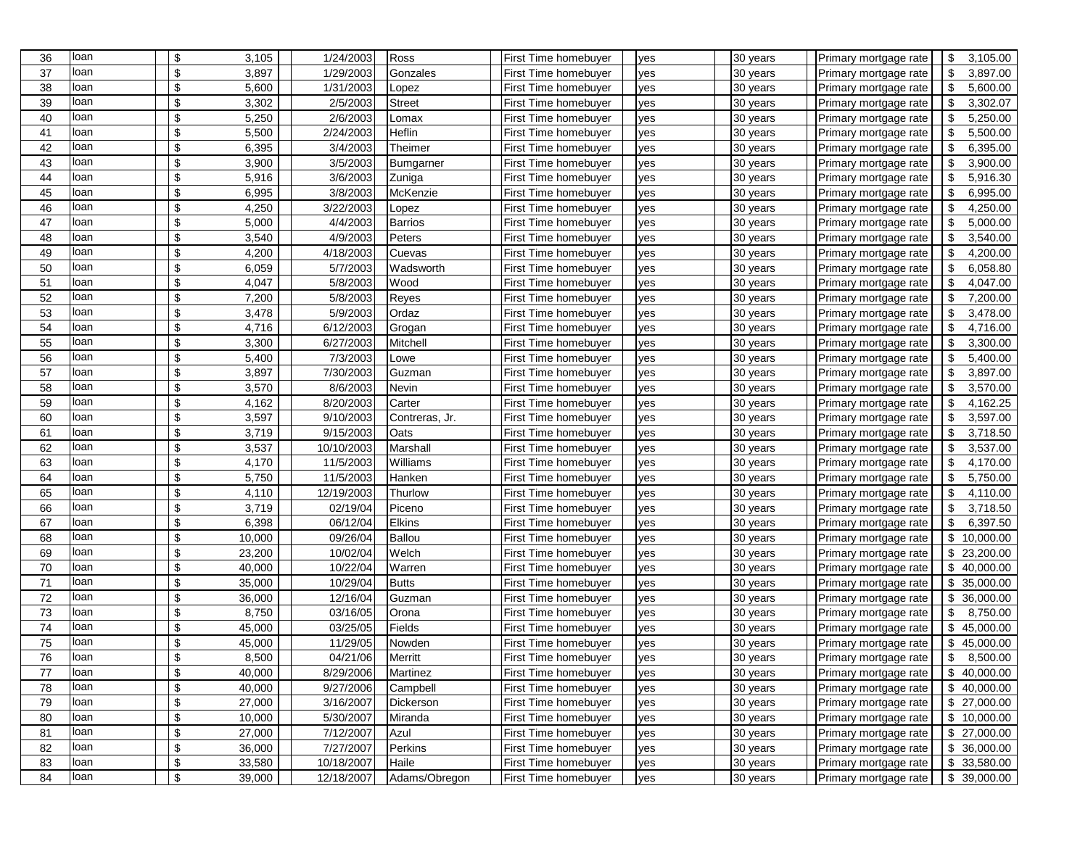| 36 | loan | \$                        | 3,105  | 1/24/2003  | Ross           | First Time homebuyer | yes | 30 years | Primary mortgage rate | \$<br>3,105.00                        |
|----|------|---------------------------|--------|------------|----------------|----------------------|-----|----------|-----------------------|---------------------------------------|
| 37 | loan | \$                        | 3,897  | 1/29/2003  | Gonzales       | First Time homebuyer | ves | 30 years | Primary mortgage rate | \$<br>3,897.00                        |
| 38 | loan | \$                        | 5,600  | 1/31/2003  | Lopez          | First Time homebuyer | yes | 30 years | Primary mortgage rate | \$<br>5,600.00                        |
| 39 | loan | \$                        | 3,302  | 2/5/2003   | <b>Street</b>  | First Time homebuyer | yes | 30 years | Primary mortgage rate | \$<br>3,302.07                        |
| 40 | loan | \$                        | 5,250  | 2/6/2003   | Lomax          | First Time homebuyer | yes | 30 years | Primary mortgage rate | \$<br>5,250.00                        |
| 41 | loan | \$                        | 5,500  | 2/24/2003  | Heflin         | First Time homebuyer | yes | 30 years | Primary mortgage rate | -\$<br>5,500.00                       |
| 42 | loan | \$                        | 6,395  | 3/4/2003   | Theimer        | First Time homebuyer | yes | 30 years | Primary mortgage rate | \$<br>6,395.00                        |
| 43 | loan | \$                        | 3,900  | 3/5/2003   | Bumgarner      | First Time homebuyer | yes | 30 years | Primary mortgage rate | $\sqrt{3}$<br>3,900.00                |
| 44 | loan | \$                        | 5,916  | 3/6/2003   | Zuniga         | First Time homebuyer | yes | 30 years | Primary mortgage rate | \$<br>5,916.30                        |
| 45 | loan | \$                        | 6,995  | 3/8/2003   | McKenzie       | First Time homebuyer | yes | 30 years | Primary mortgage rate | \$<br>6,995.00                        |
| 46 | loan | \$                        | 4,250  | 3/22/2003  | Lopez          | First Time homebuyer | yes | 30 years | Primary mortgage rate | -\$<br>4,250.00                       |
| 47 | loan | \$                        | 5,000  | 4/4/2003   | <b>Barrios</b> | First Time homebuyer | yes | 30 years | Primary mortgage rate | -\$<br>5,000.00                       |
| 48 | loan | \$                        | 3,540  | 4/9/2003   | Peters         | First Time homebuyer | yes | 30 years | Primary mortgage rate | \$<br>3,540.00                        |
| 49 | loan | \$                        | 4,200  | 4/18/2003  | Cuevas         | First Time homebuyer | yes | 30 years | Primary mortgage rate | -\$<br>4,200.00                       |
| 50 | loan | \$                        | 6,059  | 5/7/2003   | Wadsworth      | First Time homebuyer | ves | 30 years | Primary mortgage rate | \$<br>6,058.80                        |
| 51 | loan | \$                        | 4,047  | 5/8/2003   | Wood           | First Time homebuyer | yes | 30 years | Primary mortgage rate | \$<br>4,047.00                        |
| 52 | loan | \$                        | 7,200  | 5/8/2003   | Reyes          | First Time homebuyer | yes | 30 years | Primary mortgage rate | \$<br>7,200.00                        |
| 53 | loan | \$                        | 3,478  | 5/9/2003   | Ordaz          | First Time homebuyer | yes | 30 years | Primary mortgage rate | \$<br>3,478.00                        |
| 54 | loan | \$                        | 4,716  | 6/12/2003  | Grogan         | First Time homebuyer | yes | 30 years | Primary mortgage rate | \$<br>4,716.00                        |
| 55 | loan | \$                        | 3,300  | 6/27/2003  | Mitchell       | First Time homebuyer | yes | 30 years | Primary mortgage rate | \$<br>3,300.00                        |
| 56 | loan | \$                        | 5,400  | 7/3/2003   | Lowe           | First Time homebuyer | yes | 30 years | Primary mortgage rate | \$<br>5,400.00                        |
| 57 | loan | \$                        | 3,897  | 7/30/2003  | Guzman         | First Time homebuyer | yes | 30 years | Primary mortgage rate | \$<br>3,897.00                        |
| 58 | loan | \$                        | 3,570  | 8/6/2003   | Nevin          | First Time homebuyer | yes | 30 years | Primary mortgage rate | -\$<br>3,570.00                       |
| 59 | loan | \$                        | 4,162  | 8/20/2003  | Carter         | First Time homebuyer | yes | 30 years | Primary mortgage rate | -\$<br>4,162.25                       |
| 60 | loan | \$                        | 3,597  | 9/10/2003  | Contreras, Jr. | First Time homebuyer | yes | 30 years | Primary mortgage rate | $\boldsymbol{\mathsf{S}}$<br>3,597.00 |
| 61 | loan | \$                        | 3,719  | 9/15/2003  | Oats           | First Time homebuyer | yes | 30 years | Primary mortgage rate | \$<br>3,718.50                        |
| 62 | loan | \$                        | 3,537  | 10/10/2003 | Marshall       | First Time homebuyer | yes | 30 years | Primary mortgage rate | \$<br>3,537.00                        |
| 63 | loan | \$                        | 4,170  | 11/5/2003  | Williams       | First Time homebuyer | yes | 30 years | Primary mortgage rate | \$<br>4,170.00                        |
| 64 | loan | \$                        | 5,750  | 11/5/2003  | Hanken         | First Time homebuyer | yes | 30 years | Primary mortgage rate | -\$<br>5,750.00                       |
| 65 | loan | \$                        | 4,110  | 12/19/2003 | Thurlow        | First Time homebuyer | yes | 30 years | Primary mortgage rate | \$<br>4,110.00                        |
| 66 | loan | \$                        | 3,719  | 02/19/04   | Piceno         | First Time homebuyer | yes | 30 years | Primary mortgage rate | \$<br>3,718.50                        |
| 67 | loan | \$                        | 6,398  | 06/12/04   | Elkins         | First Time homebuyer | yes | 30 years | Primary mortgage rate | \$<br>6,397.50                        |
| 68 | loan | \$                        | 10,000 | 09/26/04   | <b>Ballou</b>  | First Time homebuyer | yes | 30 years | Primary mortgage rate | \$<br>10,000.00                       |
| 69 | loan | \$                        | 23,200 | 10/02/04   | Welch          | First Time homebuyer | yes | 30 years | Primary mortgage rate | \$<br>23,200.00                       |
| 70 | loan | \$                        | 40,000 | 10/22/04   | Warren         | First Time homebuyer | yes | 30 years | Primary mortgage rate | \$<br>40,000.00                       |
| 71 | loan | \$                        | 35,000 | 10/29/04   | <b>Butts</b>   | First Time homebuyer | yes | 30 years | Primary mortgage rate | \$<br>35,000.00                       |
| 72 | loan | \$                        | 36,000 | 12/16/04   | Guzman         | First Time homebuyer | yes | 30 years | Primary mortgage rate | \$<br>36,000.00                       |
| 73 | loan | \$                        | 8,750  | 03/16/05   | Orona          | First Time homebuyer | yes | 30 years | Primary mortgage rate | \$<br>8,750.00                        |
| 74 | loan | \$                        | 45,000 | 03/25/05   | Fields         | First Time homebuyer | yes | 30 years | Primary mortgage rate | \$<br>45,000.00                       |
| 75 | loan | \$                        | 45,000 | 11/29/05   | Nowden         | First Time homebuyer | yes | 30 years | Primary mortgage rate | \$<br>45,000.00                       |
| 76 | loan | \$                        | 8,500  | 04/21/06   | Merritt        | First Time homebuyer | yes | 30 years | Primary mortgage rate | \$<br>8,500.00                        |
| 77 | loan | \$                        | 40,000 | 8/29/2006  | Martinez       | First Time homebuyer | yes | 30 years | Primary mortgage rate | \$40,000.00                           |
| 78 | loan | $\,$                      | 40,000 | 9/27/2006  | Campbell       | First Time homebuyer | yes | 30 years | Primary mortgage rate | \$40,000.00                           |
| 79 | loan | \$                        | 27,000 | 3/16/2007  | Dickerson      | First Time homebuyer | yes | 30 years | Primary mortgage rate | \$27,000.00                           |
| 80 | loan | \$                        | 10,000 | 5/30/2007  | Miranda        | First Time homebuyer | yes | 30 years | Primary mortgage rate | \$10,000.00                           |
| 81 | loan | $\boldsymbol{\$}$         | 27,000 | 7/12/2007  | Azul           | First Time homebuyer | yes | 30 years | Primary mortgage rate | \$27,000.00                           |
| 82 | loan | $\boldsymbol{\mathsf{S}}$ | 36,000 | 7/27/2007  | Perkins        | First Time homebuyer | yes | 30 years | Primary mortgage rate | \$36,000.00                           |
| 83 | loan | $\boldsymbol{\mathsf{S}}$ | 33,580 | 10/18/2007 | Haile          | First Time homebuyer | yes | 30 years | Primary mortgage rate | $\sqrt{3}$<br>33,580.00               |
| 84 | loan | $\$\,$                    | 39,000 | 12/18/2007 | Adams/Obregon  | First Time homebuyer | yes | 30 years | Primary mortgage rate | \$39,000.00                           |
|    |      |                           |        |            |                |                      |     |          |                       |                                       |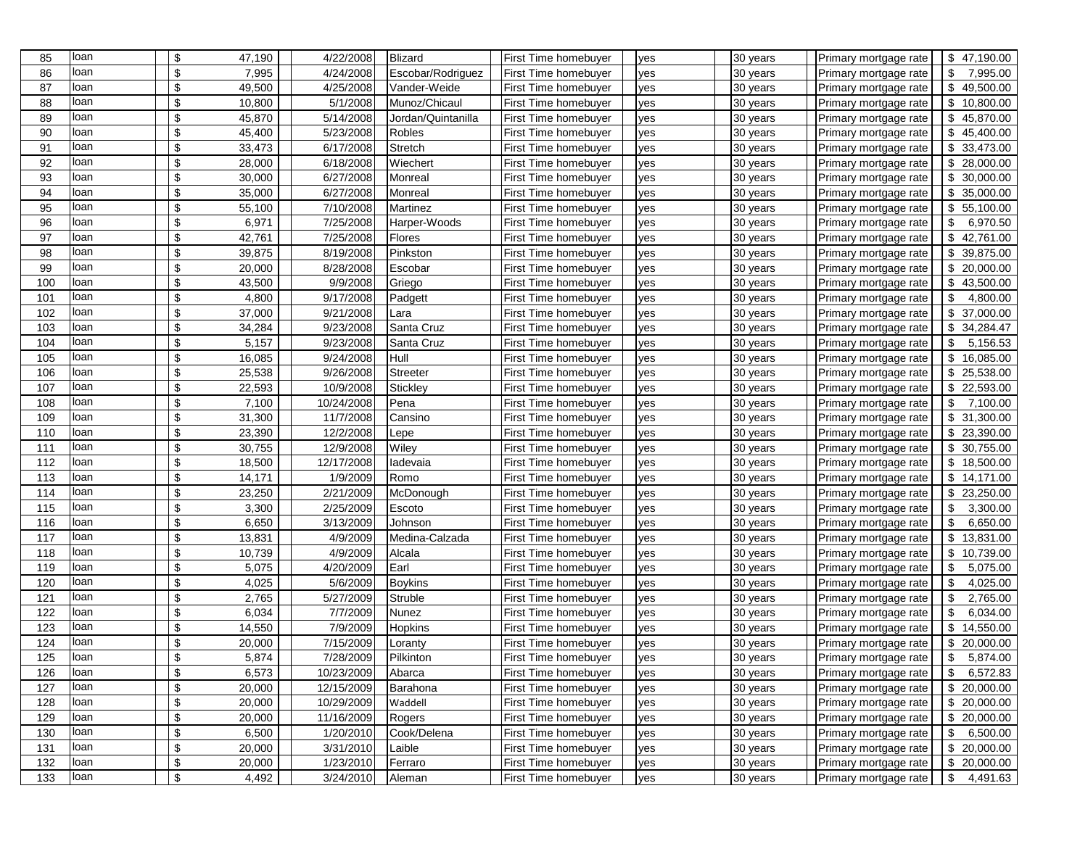| 85  | loan | \$                        | 47,190 | 4/22/2008  | Blizard            | <b>First Time homebuyer</b> | yes | 30 years | Primary mortgage rate | \$47,190.00                |
|-----|------|---------------------------|--------|------------|--------------------|-----------------------------|-----|----------|-----------------------|----------------------------|
| 86  | loan | \$                        | 7,995  | 4/24/2008  | Escobar/Rodriguez  | First Time homebuyer        | ves | 30 years | Primary mortgage rate | \$<br>7,995.00             |
| 87  | loan | \$                        | 49,500 | 4/25/2008  | Vander-Weide       | <b>First Time homebuyer</b> | yes | 30 years | Primary mortgage rate | \$<br>49,500.00            |
| 88  | loan | \$                        | 10,800 | 5/1/2008   | Munoz/Chicaul      | <b>First Time homebuyer</b> | yes | 30 years | Primary mortgage rate | \$<br>10,800.00            |
| 89  | loan | \$                        | 45,870 | 5/14/2008  | Jordan/Quintanilla | <b>First Time homebuyer</b> | yes | 30 years | Primary mortgage rate | \$<br>45,870.00            |
| 90  | loan | \$                        | 45,400 | 5/23/2008  | Robles             | <b>First Time homebuyer</b> | yes | 30 years | Primary mortgage rate | \$<br>45,400.00            |
| 91  | loan | \$                        | 33,473 | 6/17/2008  | Stretch            | First Time homebuyer        | yes | 30 years | Primary mortgage rate | $\sqrt{2}$<br>33,473.00    |
| 92  | loan | \$                        | 28,000 | 6/18/2008  | Wiechert           | <b>First Time homebuyer</b> | yes | 30 years | Primary mortgage rate | $\sqrt{3}$<br>28,000.00    |
| 93  | loan | \$                        | 30,000 | 6/27/2008  | Monreal            | <b>First Time homebuyer</b> | yes | 30 years | Primary mortgage rate | \$<br>30,000.00            |
| 94  | loan | \$                        | 35,000 | 6/27/2008  | Monreal            | First Time homebuyer        | yes | 30 years | Primary mortgage rate | \$<br>35,000.00            |
| 95  | loan | \$                        | 55,100 | 7/10/2008  | Martinez           | <b>First Time homebuyer</b> | ves | 30 years | Primary mortgage rate | $\sqrt{3}$<br>55,100.00    |
| 96  | loan | \$                        | 6,971  | 7/25/2008  | Harper-Woods       | <b>First Time homebuyer</b> | yes | 30 years | Primary mortgage rate | \$<br>6,970.50             |
| 97  | loan | \$                        | 42,761 | 7/25/2008  | Flores             | <b>First Time homebuyer</b> | yes | 30 years | Primary mortgage rate | \$<br>42,761.00            |
| 98  | loan | \$                        | 39,875 | 8/19/2008  | Pinkston           | <b>First Time homebuyer</b> | yes | 30 years | Primary mortgage rate | \$<br>39,875.00            |
| 99  | loan | \$                        | 20,000 | 8/28/2008  | Escobar            | <b>First Time homebuyer</b> | yes | 30 years | Primary mortgage rate | \$<br>20,000.00            |
| 100 | loan | \$                        | 43,500 | 9/9/2008   | Griego             | First Time homebuyer        | yes | 30 years | Primary mortgage rate | \$<br>43,500.00            |
| 101 | loan | \$                        | 4,800  | 9/17/2008  | Padgett            | <b>First Time homebuyer</b> | yes | 30 years | Primary mortgage rate | \$<br>4,800.00             |
| 102 | loan | \$                        | 37,000 | 9/21/2008  | Lara               | First Time homebuyer        | yes | 30 years | Primary mortgage rate | $\sqrt{3}$<br>37,000.00    |
| 103 | loan | \$                        | 34,284 | 9/23/2008  | Santa Cruz         | <b>First Time homebuyer</b> | yes | 30 years | Primary mortgage rate | \$<br>34,284.47            |
| 104 | loan | \$                        | 5,157  | 9/23/2008  | Santa Cruz         | <b>First Time homebuyer</b> | yes | 30 years | Primary mortgage rate | \$<br>5,156.53             |
| 105 | loan | \$                        | 16,085 | 9/24/2008  | Hull               | First Time homebuyer        | yes | 30 years | Primary mortgage rate | \$<br>16,085.00            |
| 106 | loan | \$                        | 25,538 | 9/26/2008  | Streeter           | <b>First Time homebuyer</b> | yes | 30 years | Primary mortgage rate | $\sqrt{3}$<br>25,538.00    |
| 107 | loan | \$                        | 22,593 | 10/9/2008  | <b>Stickley</b>    | <b>First Time homebuyer</b> | yes | 30 years | Primary mortgage rate | \$22,593.00                |
| 108 | loan | \$                        | 7,100  | 10/24/2008 | Pena               | <b>First Time homebuyer</b> | yes | 30 years | Primary mortgage rate | \$<br>7,100.00             |
| 109 | loan | \$                        | 31,300 | 11/7/2008  | Cansino            | First Time homebuyer        | yes | 30 years | Primary mortgage rate | \$<br>31,300.00            |
| 110 | loan | \$                        | 23,390 | 12/2/2008  | Lepe               | First Time homebuyer        | yes | 30 years | Primary mortgage rate | $\sqrt[6]{3}$<br>23,390.00 |
| 111 | loan | \$                        | 30,755 | 12/9/2008  | Wiley              | First Time homebuyer        | yes | 30 years | Primary mortgage rate | \$<br>30,755.00            |
| 112 | loan | \$                        | 18,500 | 12/17/2008 | ladevaia           | <b>First Time homebuyer</b> | yes | 30 years | Primary mortgage rate | \$18,500.00                |
| 113 | loan | \$                        | 14,171 | 1/9/2009   | Romo               | First Time homebuyer        | yes | 30 years | Primary mortgage rate | \$14,171.00                |
| 114 | loan | \$                        | 23,250 | 2/21/2009  | McDonough          | First Time homebuyer        | yes | 30 years | Primary mortgage rate | \$<br>23,250.00            |
| 115 | loan | \$                        | 3,300  | 2/25/2009  | Escoto             | First Time homebuyer        | yes | 30 years | Primary mortgage rate | \$<br>3,300.00             |
| 116 | loan | \$                        | 6,650  | 3/13/2009  | Johnson            | First Time homebuyer        | yes | 30 years | Primary mortgage rate | \$<br>6,650.00             |
| 117 | loan | \$                        | 13,831 | 4/9/2009   | Medina-Calzada     | First Time homebuyer        | yes | 30 years | Primary mortgage rate | $\sqrt{3}$<br>13,831.00    |
| 118 | loan | \$                        | 10,739 | 4/9/2009   | Alcala             | <b>First Time homebuyer</b> | yes | 30 years | Primary mortgage rate | \$<br>10,739.00            |
| 119 | loan | \$                        | 5,075  | 4/20/2009  | Earl               | First Time homebuyer        | yes | 30 years | Primary mortgage rate | \$<br>5,075.00             |
| 120 | loan | \$                        | 4,025  | 5/6/2009   | <b>Boykins</b>     | <b>First Time homebuyer</b> | yes | 30 years | Primary mortgage rate | $\sqrt{3}$<br>4,025.00     |
| 121 | loan | \$                        | 2,765  | 5/27/2009  | Struble            | <b>First Time homebuyer</b> | yes | 30 years | Primary mortgage rate | \$<br>2,765.00             |
| 122 | loan | $\sqrt[6]{\frac{1}{2}}$   | 6,034  | 7/7/2009   | Nunez              | First Time homebuyer        | yes | 30 years | Primary mortgage rate | \$<br>6,034.00             |
| 123 | loan | \$                        | 14,550 | 7/9/2009   | Hopkins            | <b>First Time homebuyer</b> | yes | 30 years | Primary mortgage rate | \$<br>14,550.00            |
| 124 | loan | \$                        | 20,000 | 7/15/2009  | Loranty            | First Time homebuyer        | yes | 30 years | Primary mortgage rate | \$<br>20,000.00            |
| 125 | loan | \$                        | 5,874  | 7/28/2009  | Pilkinton          | First Time homebuyer        | yes | 30 years | Primary mortgage rate | \$<br>5,874.00             |
| 126 | loan | \$                        | 6,573  | 10/23/2009 | Abarca             | First Time homebuyer        | yes | 30 years | Primary mortgage rate | $\sqrt{3}$<br>6,572.83     |
| 127 | loan | $\boldsymbol{\$}$         | 20,000 | 12/15/2009 | Barahona           | First Time homebuyer        | yes | 30 years | Primary mortgage rate | \$20,000.00                |
| 128 | loan | $\boldsymbol{\$}$         | 20,000 | 10/29/2009 | Waddell            | First Time homebuyer        | yes | 30 years | Primary mortgage rate | \$20,000.00                |
| 129 | loan | \$                        | 20,000 | 11/16/2009 | Rogers             | First Time homebuyer        | yes | 30 years | Primary mortgage rate | \$20,000.00                |
| 130 | loan | $\boldsymbol{\$}$         | 6,500  | 1/20/2010  | Cook/Delena        | First Time homebuyer        | yes | 30 years | Primary mortgage rate | $\sqrt{3}$<br>6,500.00     |
| 131 | loan | $\boldsymbol{\$}$         | 20,000 | 3/31/2010  | Laible             | First Time homebuyer        | yes | 30 years | Primary mortgage rate | \$20,000.00                |
| 132 | loan | \$                        | 20,000 | 1/23/2010  | Ferraro            | First Time homebuyer        | yes | 30 years | Primary mortgage rate | \$<br>20,000.00            |
| 133 | loan | $\boldsymbol{\mathsf{S}}$ | 4,492  | 3/24/2010  | Aleman             | First Time homebuyer        | yes | 30 years | Primary mortgage rate | $\sqrt{3}$<br>4,491.63     |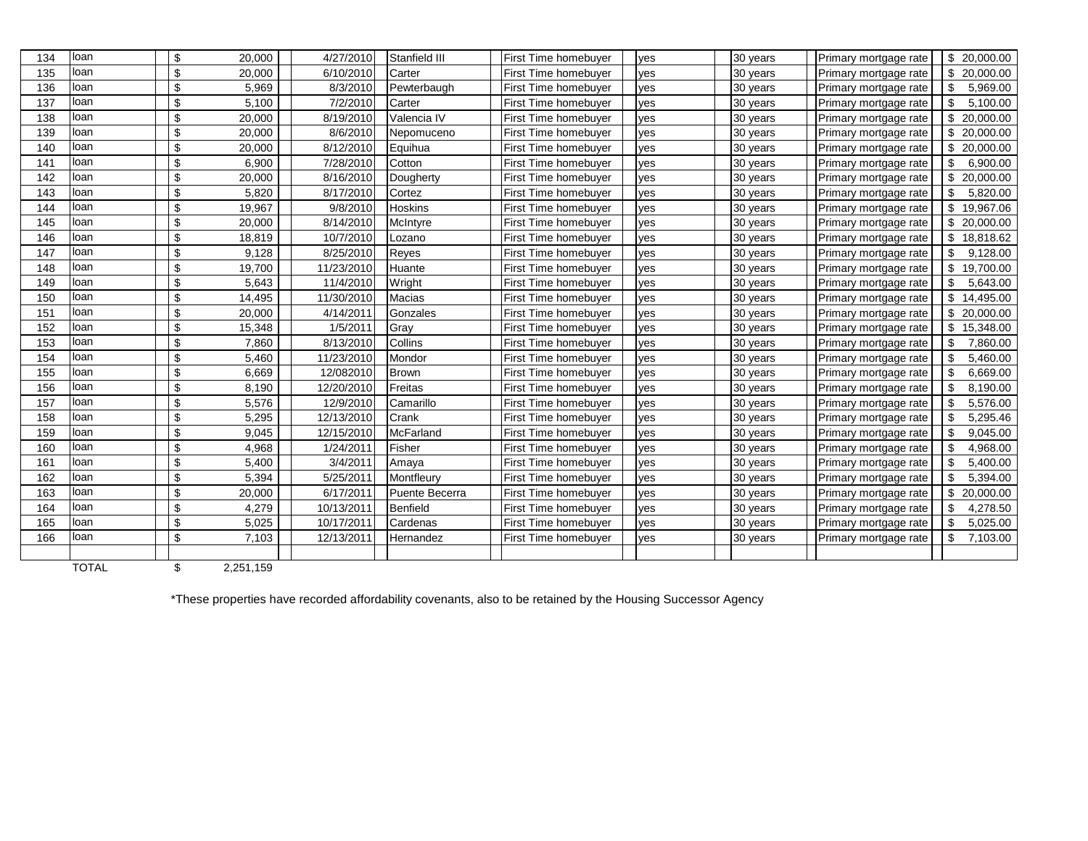| 134 | loan         | \$                        | 20,000    | 4/27/2010  | Stanfield III   | <b>First Time homebuyer</b> | ves | 30 years | Primary mortgage rate | \$20,000.00     |
|-----|--------------|---------------------------|-----------|------------|-----------------|-----------------------------|-----|----------|-----------------------|-----------------|
| 135 | loan         | \$                        | 20,000    | 6/10/2010  | Carter          | <b>First Time homebuyer</b> | ves | 30 years | Primary mortgage rate | \$<br>20,000.00 |
| 136 | loan         | \$                        | 5,969     | 8/3/2010   | Pewterbaugh     | <b>First Time homebuyer</b> | yes | 30 years | Primary mortgage rate | \$<br>5,969.00  |
| 137 | loan         | \$                        | 5,100     | 7/2/2010   | Carter          | <b>First Time homebuyer</b> | ves | 30 years | Primary mortgage rate | \$<br>5,100.00  |
| 138 | loan         | \$                        | 20,000    | 8/19/2010  | Valencia IV     | First Time homebuyer        | ves | 30 years | Primary mortgage rate | \$<br>20,000.00 |
| 139 | loan         | $\sqrt[6]{\frac{1}{2}}$   | 20,000    | 8/6/2010   | Nepomuceno      | <b>First Time homebuyer</b> | ves | 30 years | Primary mortgage rate | \$<br>20,000.00 |
| 140 | loan         | Ŝ                         | 20,000    | 8/12/2010  | Equihua         | First Time homebuyer        | ves | 30 years | Primary mortgage rate | \$<br>20,000.00 |
| 141 | loan         | \$                        | 6.900     | 7/28/2010  | Cotton          | <b>First Time homebuyer</b> | ves | 30 years | Primary mortgage rate | \$<br>6.900.00  |
| 142 | loan         | \$                        | 20,000    | 8/16/2010  | Dougherty       | <b>First Time homebuyer</b> | ves | 30 years | Primary mortgage rate | \$<br>20,000.00 |
| 143 | loan         | $\boldsymbol{\mathsf{S}}$ | 5,820     | 8/17/2010  | Cortez          | First Time homebuyer        | ves | 30 years | Primary mortgage rate | \$<br>5,820.00  |
| 144 | loan         | \$                        | 19,967    | 9/8/2010   | <b>Hoskins</b>  | <b>First Time homebuyer</b> | ves | 30 years | Primary mortgage rate | \$<br>19,967.06 |
| 145 | loan         | \$                        | 20,000    | 8/14/2010  | McIntyre        | <b>First Time homebuyer</b> | ves | 30 years | Primary mortgage rate | \$<br>20,000.00 |
| 146 | loan         | \$                        | 18,819    | 10/7/2010  | Lozano          | <b>First Time homebuyer</b> | ves | 30 years | Primary mortgage rate | \$<br>18,818.62 |
| 147 | loan         | \$                        | 9,128     | 8/25/2010  | Reyes           | First Time homebuyer        | ves | 30 years | Primary mortgage rate | \$<br>9,128.00  |
| 148 | loan         | \$                        | 19,700    | 11/23/2010 | Huante          | First Time homebuyer        | ves | 30 years | Primary mortgage rate | \$<br>19,700.00 |
| 149 | loan         | \$                        | 5,643     | 11/4/2010  | Wright          | <b>First Time homebuyer</b> | ves | 30 years | Primary mortgage rate | \$<br>5,643.00  |
| 150 | loan         | \$                        | 14,495    | 11/30/2010 | <b>Macias</b>   | <b>First Time homebuyer</b> | ves | 30 years | Primary mortgage rate | \$<br>14,495.00 |
| 151 | loan         | \$                        | 20,000    | 4/14/2011  | Gonzales        | <b>First Time homebuyer</b> | ves | 30 years | Primary mortgage rate | \$<br>20,000.00 |
| 152 | loan         | \$                        | 15,348    | 1/5/2011   | Gray            | <b>First Time homebuyer</b> | ves | 30 years | Primary mortgage rate | 15,348.00<br>\$ |
| 153 | loan         | \$                        | 7,860     | 8/13/2010  | Collins         | First Time homebuyer        | ves | 30 years | Primary mortgage rate | \$<br>7,860.00  |
| 154 | loan         | \$                        | 5,460     | 11/23/2010 | Mondor          | <b>First Time homebuyer</b> | ves | 30 years | Primary mortgage rate | \$<br>5,460.00  |
| 155 | loan         | Ŝ                         | 6,669     | 12/082010  | <b>Brown</b>    | <b>First Time homebuyer</b> | yes | 30 years | Primary mortgage rate | \$<br>6,669.00  |
| 156 | loan         | \$                        | 8,190     | 12/20/2010 | Freitas         | <b>First Time homebuyer</b> | ves | 30 years | Primary mortgage rate | 8,190.00<br>\$  |
| 157 | loan         | \$                        | 5,576     | 12/9/2010  | Camarillo       | <b>First Time homebuyer</b> | ves | 30 years | Primary mortgage rate | \$<br>5,576.00  |
| 158 | loan         | \$                        | 5,295     | 12/13/2010 | Crank           | First Time homebuyer        | ves | 30 years | Primary mortgage rate | \$<br>5,295.46  |
| 159 | loan         | \$                        | 9,045     | 12/15/2010 | McFarland       | First Time homebuyer        | yes | 30 years | Primary mortgage rate | \$<br>9,045.00  |
| 160 | loan         | \$                        | 4,968     | 1/24/2011  | Fisher          | <b>First Time homebuyer</b> | ves | 30 years | Primary mortgage rate | \$<br>4,968.00  |
| 161 | loan         | \$                        | 5,400     | 3/4/2011   | Amaya           | <b>First Time homebuyer</b> | ves | 30 years | Primary mortgage rate | \$<br>5,400.00  |
| 162 | loan         | \$                        | 5,394     | 5/25/2011  | Montfleurv      | First Time homebuyer        | ves | 30 years | Primary mortgage rate | \$<br>5,394.00  |
| 163 | loan         | \$                        | 20,000    | 6/17/2011  | Puente Becerra  | First Time homebuyer        | yes | 30 years | Primary mortgage rate | \$<br>20,000.00 |
| 164 | loan         | \$                        | 4,279     | 10/13/2011 | <b>Benfield</b> | <b>First Time homebuyer</b> | ves | 30 years | Primary mortgage rate | 4,278.50<br>\$  |
| 165 | loan         | \$                        | 5,025     | 10/17/2011 | Cardenas        | <b>First Time homebuyer</b> | ves | 30 years | Primary mortgage rate | \$<br>5,025.00  |
| 166 | loan         | \$                        | 7,103     | 12/13/2011 | Hernandez       | <b>First Time homebuyer</b> | yes | 30 years | Primary mortgage rate | \$<br>7,103.00  |
|     |              |                           |           |            |                 |                             |     |          |                       |                 |
|     | <b>TOTAL</b> | \$                        | 2,251,159 |            |                 |                             |     |          |                       |                 |

\*These properties have recorded affordability covenants, also to be retained by the Housing Successor Agency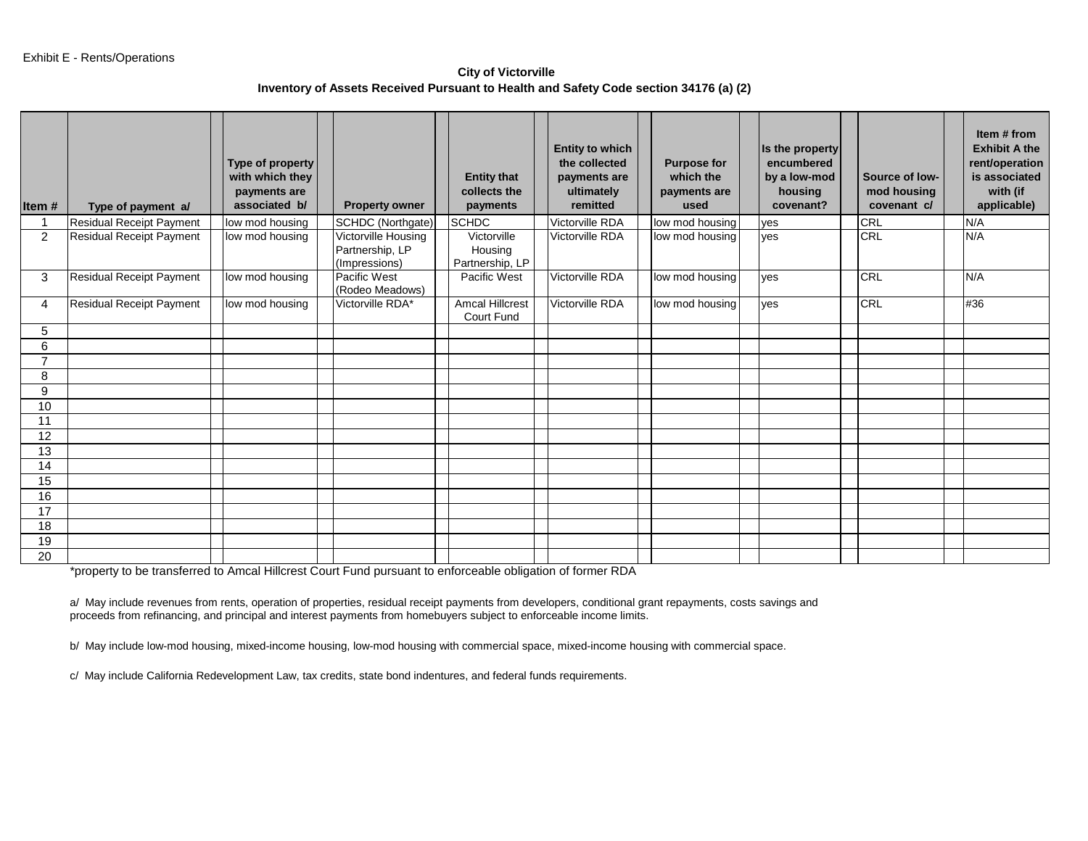**City of Victorville Inventory of Assets Received Pursuant to Health and Safety Code section 34176 (a) (2)** 

| Item#          | Type of payment a/              | Type of property<br>with which they<br>payments are<br>associated b/ | <b>Property owner</b>                                   | <b>Entity that</b><br>collects the<br>payments | <b>Entity to which</b><br>the collected<br>payments are<br>ultimately<br>remitted | <b>Purpose for</b><br>which the<br>payments are<br>used | Is the property<br>encumbered<br>by a low-mod<br>housing<br>covenant? | Source of low-<br>mod housing<br>covenant c/ | Item # from<br><b>Exhibit A the</b><br>rent/operation<br>is associated<br>with (if<br>applicable) |
|----------------|---------------------------------|----------------------------------------------------------------------|---------------------------------------------------------|------------------------------------------------|-----------------------------------------------------------------------------------|---------------------------------------------------------|-----------------------------------------------------------------------|----------------------------------------------|---------------------------------------------------------------------------------------------------|
|                | <b>Residual Receipt Payment</b> | low mod housing                                                      | SCHDC (Northgate)                                       | <b>SCHDC</b>                                   | <b>Victorville RDA</b>                                                            | low mod housing                                         | yes                                                                   | CRL                                          | N/A                                                                                               |
| 2              | <b>Residual Receipt Payment</b> | low mod housing                                                      | Victorville Housing<br>Partnership, LP<br>(Impressions) | Victorville<br>Housing<br>Partnership, LP      | Victorville RDA                                                                   | low mod housing                                         | ves                                                                   | <b>CRL</b>                                   | N/A                                                                                               |
| 3              | <b>Residual Receipt Payment</b> | low mod housing                                                      | Pacific West<br>(Rodeo Meadows)                         | Pacific West                                   | Victorville RDA                                                                   | low mod housing                                         | yes                                                                   | <b>CRL</b>                                   | N/A                                                                                               |
| 4              | <b>Residual Receipt Payment</b> | low mod housing                                                      | Victorville RDA*                                        | <b>Amcal Hillcrest</b><br>Court Fund           | Victorville RDA                                                                   | low mod housing                                         | ves                                                                   | <b>CRL</b>                                   | #36                                                                                               |
| 5              |                                 |                                                                      |                                                         |                                                |                                                                                   |                                                         |                                                                       |                                              |                                                                                                   |
| 6              |                                 |                                                                      |                                                         |                                                |                                                                                   |                                                         |                                                                       |                                              |                                                                                                   |
| $\overline{7}$ |                                 |                                                                      |                                                         |                                                |                                                                                   |                                                         |                                                                       |                                              |                                                                                                   |
| 8              |                                 |                                                                      |                                                         |                                                |                                                                                   |                                                         |                                                                       |                                              |                                                                                                   |
| 9              |                                 |                                                                      |                                                         |                                                |                                                                                   |                                                         |                                                                       |                                              |                                                                                                   |
| 10             |                                 |                                                                      |                                                         |                                                |                                                                                   |                                                         |                                                                       |                                              |                                                                                                   |
| 11             |                                 |                                                                      |                                                         |                                                |                                                                                   |                                                         |                                                                       |                                              |                                                                                                   |
| 12             |                                 |                                                                      |                                                         |                                                |                                                                                   |                                                         |                                                                       |                                              |                                                                                                   |
| 13             |                                 |                                                                      |                                                         |                                                |                                                                                   |                                                         |                                                                       |                                              |                                                                                                   |
| 14             |                                 |                                                                      |                                                         |                                                |                                                                                   |                                                         |                                                                       |                                              |                                                                                                   |
| 15             |                                 |                                                                      |                                                         |                                                |                                                                                   |                                                         |                                                                       |                                              |                                                                                                   |
| 16             |                                 |                                                                      |                                                         |                                                |                                                                                   |                                                         |                                                                       |                                              |                                                                                                   |
| 17             |                                 |                                                                      |                                                         |                                                |                                                                                   |                                                         |                                                                       |                                              |                                                                                                   |
| 18             |                                 |                                                                      |                                                         |                                                |                                                                                   |                                                         |                                                                       |                                              |                                                                                                   |
| 19             |                                 |                                                                      |                                                         |                                                |                                                                                   |                                                         |                                                                       |                                              |                                                                                                   |
| 20             |                                 |                                                                      |                                                         |                                                |                                                                                   |                                                         |                                                                       |                                              |                                                                                                   |

\*property to be transferred to Amcal Hillcrest Court Fund pursuant to enforceable obligation of former RDA

a/ May include revenues from rents, operation of properties, residual receipt payments from developers, conditional grant repayments, costs savings and proceeds from refinancing, and principal and interest payments from homebuyers subject to enforceable income limits.

b/ May include low-mod housing, mixed-income housing, low-mod housing with commercial space, mixed-income housing with commercial space.

c/ May include California Redevelopment Law, tax credits, state bond indentures, and federal funds requirements.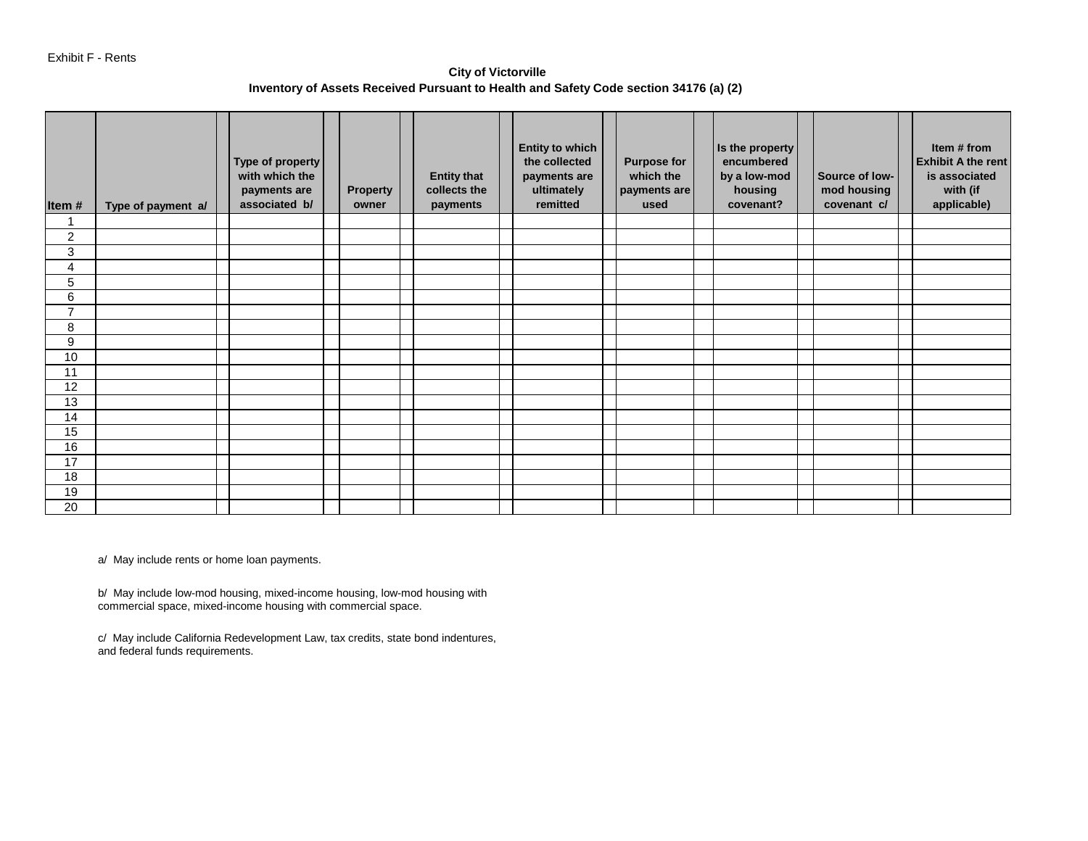**City of Victorville Inventory of Assets Received Pursuant to Health and Safety Code section 34176 (a) (2)** 

| Item#          | Type of payment a/ | Type of property<br>with which the<br>payments are<br>associated b/ | <b>Property</b><br>owner | <b>Entity that</b><br>collects the<br>payments | <b>Entity to which</b><br>the collected<br>payments are<br>ultimately<br>remitted | <b>Purpose for</b><br>which the<br>payments are<br>used | Is the property<br>encumbered<br>by a low-mod<br>housing<br>covenant? | Source of low-<br>mod housing<br>covenant c/ | Item # from<br><b>Exhibit A the rent</b><br>is associated<br>with (if<br>applicable) |
|----------------|--------------------|---------------------------------------------------------------------|--------------------------|------------------------------------------------|-----------------------------------------------------------------------------------|---------------------------------------------------------|-----------------------------------------------------------------------|----------------------------------------------|--------------------------------------------------------------------------------------|
|                |                    |                                                                     |                          |                                                |                                                                                   |                                                         |                                                                       |                                              |                                                                                      |
| $\overline{c}$ |                    |                                                                     |                          |                                                |                                                                                   |                                                         |                                                                       |                                              |                                                                                      |
| 3              |                    |                                                                     |                          |                                                |                                                                                   |                                                         |                                                                       |                                              |                                                                                      |
| 4              |                    |                                                                     |                          |                                                |                                                                                   |                                                         |                                                                       |                                              |                                                                                      |
| 5              |                    |                                                                     |                          |                                                |                                                                                   |                                                         |                                                                       |                                              |                                                                                      |
| 6              |                    |                                                                     |                          |                                                |                                                                                   |                                                         |                                                                       |                                              |                                                                                      |
| $\overline{7}$ |                    |                                                                     |                          |                                                |                                                                                   |                                                         |                                                                       |                                              |                                                                                      |
| 8              |                    |                                                                     |                          |                                                |                                                                                   |                                                         |                                                                       |                                              |                                                                                      |
| 9              |                    |                                                                     |                          |                                                |                                                                                   |                                                         |                                                                       |                                              |                                                                                      |
| 10             |                    |                                                                     |                          |                                                |                                                                                   |                                                         |                                                                       |                                              |                                                                                      |
| 11             |                    |                                                                     |                          |                                                |                                                                                   |                                                         |                                                                       |                                              |                                                                                      |
| 12             |                    |                                                                     |                          |                                                |                                                                                   |                                                         |                                                                       |                                              |                                                                                      |
| 13             |                    |                                                                     |                          |                                                |                                                                                   |                                                         |                                                                       |                                              |                                                                                      |
| 14             |                    |                                                                     |                          |                                                |                                                                                   |                                                         |                                                                       |                                              |                                                                                      |
| 15             |                    |                                                                     |                          |                                                |                                                                                   |                                                         |                                                                       |                                              |                                                                                      |
| 16             |                    |                                                                     |                          |                                                |                                                                                   |                                                         |                                                                       |                                              |                                                                                      |
| 17             |                    |                                                                     |                          |                                                |                                                                                   |                                                         |                                                                       |                                              |                                                                                      |
| 18             |                    |                                                                     |                          |                                                |                                                                                   |                                                         |                                                                       |                                              |                                                                                      |
| 19             |                    |                                                                     |                          |                                                |                                                                                   |                                                         |                                                                       |                                              |                                                                                      |
| 20             |                    |                                                                     |                          |                                                |                                                                                   |                                                         |                                                                       |                                              |                                                                                      |

a/ May include rents or home loan payments.

b/ May include low-mod housing, mixed-income housing, low-mod housing with commercial space, mixed-income housing with commercial space.

c/ May include California Redevelopment Law, tax credits, state bond indentures, and federal funds requirements.